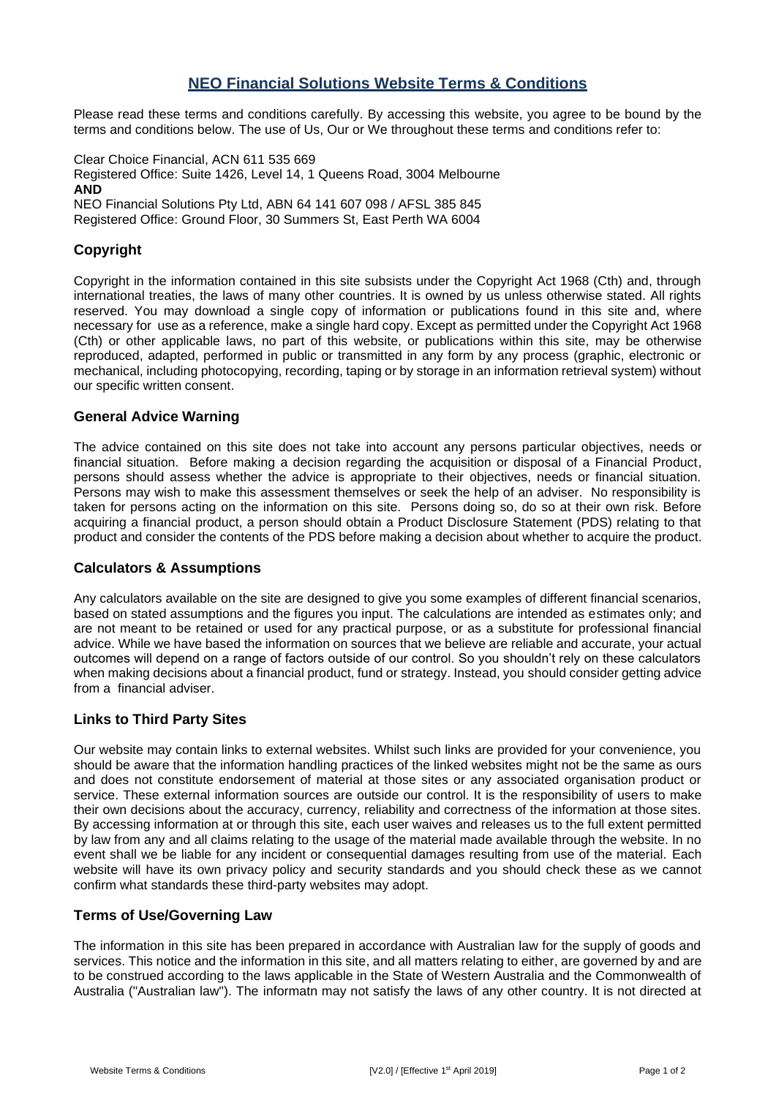# **NEO Financial Solutions Website Terms & Conditions**

Please read these terms and conditions carefully. By accessing this website, you agree to be bound by the terms and conditions below. The use of Us, Our or We throughout these terms and conditions refer to:

Clear Choice Financial, ACN 611 535 669 Registered Office: Suite 1426, Level 14, 1 Queens Road, 3004 Melbourne **AND**  NEO Financial Solutions Pty Ltd, ABN 64 141 607 098 / AFSL 385 845 Registered Office: Ground Floor, 30 Summers St, East Perth WA 6004

# **Copyright**

Copyright in the information contained in this site subsists under the Copyright Act 1968 (Cth) and, through international treaties, the laws of many other countries. It is owned by us unless otherwise stated. All rights reserved. You may download a single copy of information or publications found in this site and, where necessary for use as a reference, make a single hard copy. Except as permitted under the Copyright Act 1968 (Cth) or other applicable laws, no part of this website, or publications within this site, may be otherwise reproduced, adapted, performed in public or transmitted in any form by any process (graphic, electronic or mechanical, including photocopying, recording, taping or by storage in an information retrieval system) without our specific written consent.

### **General Advice Warning**

The advice contained on this site does not take into account any persons particular objectives, needs or financial situation. Before making a decision regarding the acquisition or disposal of a Financial Product, persons should assess whether the advice is appropriate to their objectives, needs or financial situation. Persons may wish to make this assessment themselves or seek the help of an adviser. No responsibility is taken for persons acting on the information on this site. Persons doing so, do so at their own risk. Before acquiring a financial product, a person should obtain a Product Disclosure Statement (PDS) relating to that product and consider the contents of the PDS before making a decision about whether to acquire the product.

#### **Calculators & Assumptions**

Any calculators available on the site are designed to give you some examples of different financial scenarios, based on stated assumptions and the figures you input. The calculations are intended as estimates only; and are not meant to be retained or used for any practical purpose, or as a substitute for professional financial advice. While we have based the information on sources that we believe are reliable and accurate, your actual outcomes will depend on a range of factors outside of our control. So you shouldn't rely on these calculators when making decisions about a financial product, fund or strategy. Instead, you should consider getting advice from a financial adviser.

## **Links to Third Party Sites**

Our website may contain links to external websites. Whilst such links are provided for your convenience, you should be aware that the information handling practices of the linked websites might not be the same as ours and does not constitute endorsement of material at those sites or any associated organisation product or service. These external information sources are outside our control. It is the responsibility of users to make their own decisions about the accuracy, currency, reliability and correctness of the information at those sites. By accessing information at or through this site, each user waives and releases us to the full extent permitted by law from any and all claims relating to the usage of the material made available through the website. In no event shall we be liable for any incident or consequential damages resulting from use of the material. Each website will have its own privacy policy and security standards and you should check these as we cannot confirm what standards these third-party websites may adopt.

#### **Terms of Use/Governing Law**

The information in this site has been prepared in accordance with Australian law for the supply of goods and services. This notice and the information in this site, and all matters relating to either, are governed by and are to be construed according to the laws applicable in the State of Western Australia and the Commonwealth of Australia ("Australian law"). The informatn may not satisfy the laws of any other country. It is not directed at